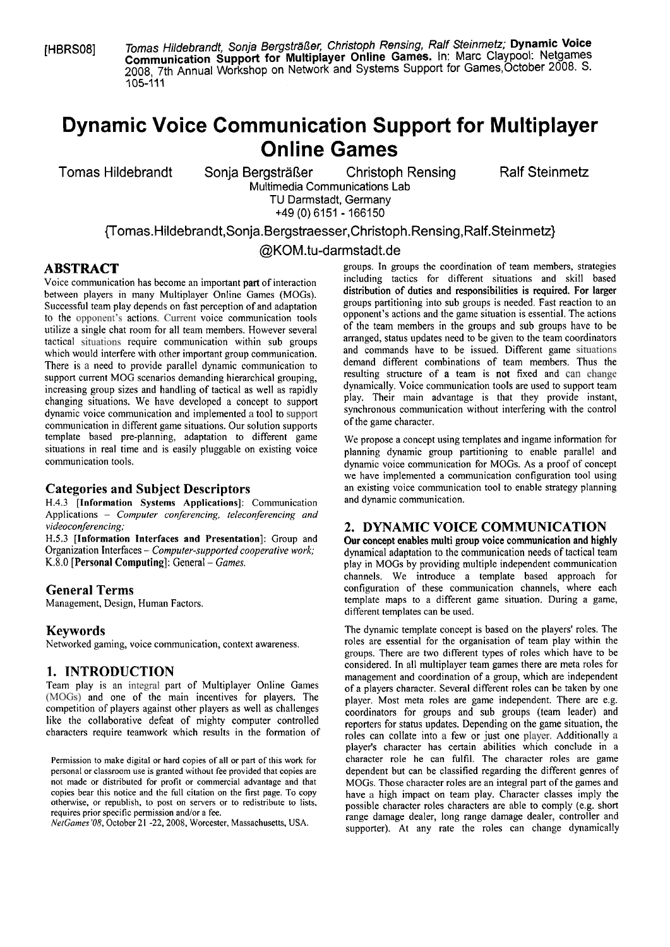[HBRSOB] Tomas Hildebrandt, Sonja Bergstr3ßer: Christoph Rensing, Ralf Steinmetz; **Dynamic Voice Comrnunication Support for Multiplayer Online Games.** In: Marc Claypool: Netgames 2008, 7th Annual Workshop on Network and Systems Support for Games, October 2008. S. 105-111

# **Dynamic Voice Communication Support for Multiplayer Online Games**

Tomas Hildebrandt Sonja Bergsträßer Christoph Rensing Ralf Steinmetz Multimedia Communications Lab

TU Darmstadt, Germany

+49 (0) 6151 - 166150

~omas.Hildebrandt,Sonja.Bergstraesser,Christoph.Rensing,Ralf.Steinmetz}

@KOM.tu-darmstadt.de

between players in many Multiplayer Online Games (MOGs).<br>Successful team play depends on fast perception of and adaptation to the opponent's actions. Current voice communication tools opponent's actions and the game situation is essential. The actions is essential. The actions of the team members in the groups and sub-groups have to be utilize a single chat room for all team members. However several of the team members in the groups and sub groups have to be<br>torical situations, require communication within sub groups arranged, status updates need to be g tactical situations require communication within sub groups arranged, status updates need to be given to the team coordinators<br>which would interfere with other important group communication and commands have to be issued. which would interfere with other important group communication. and commands have to be issued. Different game situations of team interferent game situations of team interferent game situations of team interferent compunic There is a need to provide parallel dynamic communication to demand different combinations of team members. Thus the<br>support current MOG scenarios demanding biararchical grouping resulting structure of a team is not fixed support current MOG scenarios demanding hierarchical grouping,<br>increasing group sizes and bandling of tortical as well as repidly dynamically. Voice communication tools are used to support team increasing group sizes and handling of tactical as well as rapidly dynamically. Voice communication tools are used to support team<br>changing situations. We have developed a concent to support play. Their main advantage is t changing situations. We have developed a concept to support play. Their main advantage is that they provide instant,<br>dynamic voice communication and implemented a tool to support synchronous communication without interferi dynamic voice communication and implemented a tool to support synchronous communication in different come situations. Our solution support of the game character. communication in different game situations. Our solution supports template based pre-planning, adaptation to different game we propose a concept using templates and ingame information for<br>situations in real time and is easily pluggable on existing voice blanning dynamic group partitionin situations in real time and is easily pluggable on existing voice planning dynamic group partitioning to enable parallel and communication for MOGs. As a proof of concept

H.4.3 **[Information Systems Applications]:** Communication Applications - *Computer conferencing, teleconferencing and* 

H.5.3 **[Information Interfaces and Presentation**]: Group and Our concept enables multi group voice communication and highly Organization Interfaces – *Computer-supported cooperative work*; dynamical adaptation to the commu

Networked gaming, voice communication, context awareness.

competition of players against other players as well as challenges coordinators for groups and sub groups (team leader) and like the collaborative defeat of mighty computer controlled reporters for status undates Depending like the collaborative defeat of mighty computer controlled reporters for status updates. Depending on the game situation, the characters require teamwork which results in the formation of roles can collate into a few or j

**ABSTRACT** external and a groups. In groups the coordination of team members, strategies voice communication has become an important part of interaction including tactics for different situations and skill based  $V$  bice communication has become an important part of interaction including tactics for different groups partitioning into sub groups is needed. Fast reaction to an opponent's actions and the game situation is essential. The actions

dynamic voice communication for MOGs. As a proof of concept we have implemented a communication configuration tool using **Categories and Subject Descriptors** an existing voice communication tool to enable strategy planning  $H A$ <sup>3</sup>. [Information, Systems, Annlications]: Communication and dynamic communication.

# *videocon ferencing;*<br> **2. DYNAMIC VOICE COMMUNICATION**<br> **E.5.3** [Information Interfaces and Presentation]: Group and Cur concept enables multi group voice communication and high

Organization Interfaces – *Computer-supported cooperative work*; *dynamical adaptation to the communication needs of tactical team*<br>K.8.0 [Personal Computing]: General – *Games. dia* in MOGs by providing multiple indepen play in MOGs by providing multiple independent communication channels. We introduce a template based approach for **General Terms General Terms** configuration of these communication channels, where each Management. Design. Human Factors. **Exercípsis 1998 Configuration** of these communication channels, where each template maps to a template maps to a different game situation. During a game, different templates can be used.

**Keywords**<br>Networked gaming voice communication context avareness<br>Networked gaming voice communication context avareness<br>roles are essential for the organisation of team play within the groups. There are two different types of roles which have to be **1. INTRODUCTION considered.** In all multiplayer team games there are meta roles for **management** and coordination of a group, which are independent Team play is an integral part of Multiplayer Online Games<br>
(MOGs) and one of the main incentives for players. The<br>
competition of players against other players as well as challenges<br>
coordinators for groups and sub-groups roles can collate into a few or just one player. Additionally a player's character has certain abilities which conclude in a Permission to make digital or hard copies of all or part of this work for character role he can fulfil. The character roles are game personal or classroom use is granted without fee provided that copies are dependent but c dependent but can be classified regarding the different genres of not made or distributed for profit or commercial advantage and that MOGs. Those character roles are an integral part of the games and copies bear this notice and the full citation on the first page. To copy have a high imp copies bear this notice and the full citation on the first page. To copy have a high impact on team play. Character classes imply the otherwise, or republish, to post on servers or to redistribute to lists, nossible chara otherwise, or republish, to post on servers or to redistribute to lists, possible character roles characters are able to comply (e.g. short requires prior specific permission and/or a fee. requires prior specific permission and/or a fee.<br>NetGames 08, October 21 -22, 2008, Worcester, Massachusetts, USA. Tange damage dealer, long range damage dealer, controller and supporter). At any rate the roles can change